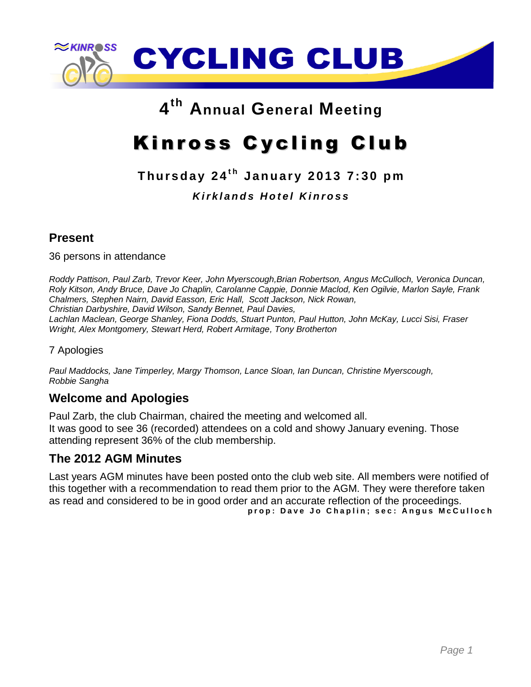

# **4 th Annual General Meeting**

# Kinross Cycling Club

# **T hu r s d a y 2 4 t h J a n u a r y 2 0 1 3 7 : 3 0 p m** *K i r k l a n d s H o t e l K i n r o s s*

## **Present**

36 persons in attendance

*Roddy Pattison, Paul Zarb, Trevor Keer, John Myerscough,Brian Robertson, Angus McCulloch, Veronica Duncan, Roly Kitson, Andy Bruce, Dave Jo Chaplin, Carolanne Cappie, Donnie Maclod, Ken Ogilvie, Marlon Sayle, Frank Chalmers, Stephen Nairn, David Easson, Eric Hall, Scott Jackson, Nick Rowan, Christian Darbyshire, David Wilson, Sandy Bennet, Paul Davies, Lachlan Maclean, George Shanley, Fiona Dodds, Stuart Punton, Paul Hutton, John McKay, Lucci Sisi, Fraser Wright, Alex Montgomery, Stewart Herd, Robert Armitage, Tony Brotherton*

#### 7 Apologies

*Paul Maddocks, Jane Timperley, Margy Thomson, Lance Sloan, Ian Duncan, Christine Myerscough, Robbie Sangha*

#### **Welcome and Apologies**

Paul Zarb, the club Chairman, chaired the meeting and welcomed all. It was good to see 36 (recorded) attendees on a cold and showy January evening. Those attending represent 36% of the club membership.

#### **The 2012 AGM Minutes**

Last years AGM minutes have been posted onto the club web site. All members were notified of this together with a recommendation to read them prior to the AGM. They were therefore taken as read and considered to be in good order and an accurate reflection of the proceedings. **p r o p : D a v e J o C h a p l i n ; s e c : A n g u s M c C u l l o c h**

*Page 1*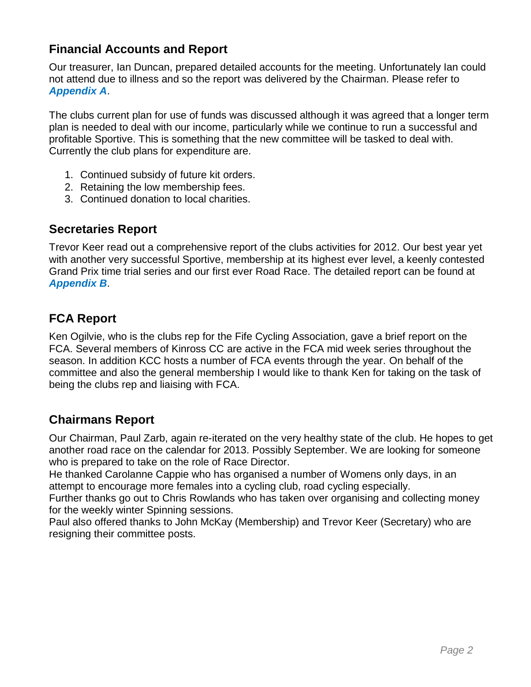## **Financial Accounts and Report**

Our treasurer, Ian Duncan, prepared detailed accounts for the meeting. Unfortunately Ian could not attend due to illness and so the report was delivered by the Chairman. Please refer to *Appendix A*.

The clubs current plan for use of funds was discussed although it was agreed that a longer term plan is needed to deal with our income, particularly while we continue to run a successful and profitable Sportive. This is something that the new committee will be tasked to deal with. Currently the club plans for expenditure are.

- 1. Continued subsidy of future kit orders.
- 2. Retaining the low membership fees.
- 3. Continued donation to local charities.

#### **Secretaries Report**

Trevor Keer read out a comprehensive report of the clubs activities for 2012. Our best year yet with another very successful Sportive, membership at its highest ever level, a keenly contested Grand Prix time trial series and our first ever Road Race. The detailed report can be found at *Appendix B*.

## **FCA Report**

Ken Ogilvie, who is the clubs rep for the Fife Cycling Association, gave a brief report on the FCA. Several members of Kinross CC are active in the FCA mid week series throughout the season. In addition KCC hosts a number of FCA events through the year. On behalf of the committee and also the general membership I would like to thank Ken for taking on the task of being the clubs rep and liaising with FCA.

#### **Chairmans Report**

Our Chairman, Paul Zarb, again re-iterated on the very healthy state of the club. He hopes to get another road race on the calendar for 2013. Possibly September. We are looking for someone who is prepared to take on the role of Race Director.

He thanked Carolanne Cappie who has organised a number of Womens only days, in an attempt to encourage more females into a cycling club, road cycling especially.

Further thanks go out to Chris Rowlands who has taken over organising and collecting money for the weekly winter Spinning sessions.

Paul also offered thanks to John McKay (Membership) and Trevor Keer (Secretary) who are resigning their committee posts.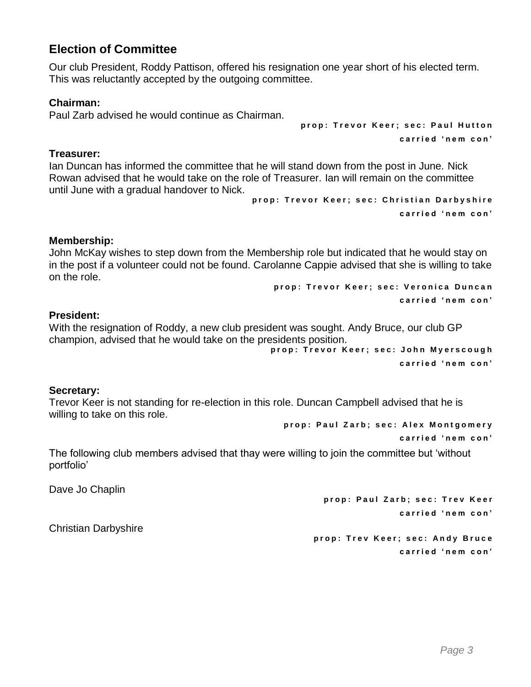#### **Election of Committee**

Our club President, Roddy Pattison, offered his resignation one year short of his elected term. This was reluctantly accepted by the outgoing committee.

#### **Chairman:**

Paul Zarb advised he would continue as Chairman.

#### **Treasurer:**

Ian Duncan has informed the committee that he will stand down from the post in June. Nick Rowan advised that he would take on the role of Treasurer. Ian will remain on the committee until June with a gradual handover to Nick.

**p r o p : T r e v o r K e e r ; s e c : C h r i s t i a n D a r b y s h i r e c a r r i e d ' n e m c o n '**

**p r o p : T r e v o r K e e r ; s e c : P a u l H u t t o n**

**c a r r i e d ' n e m c o n '**

#### **Membership:**

John McKay wishes to step down from the Membership role but indicated that he would stay on in the post if a volunteer could not be found. Carolanne Cappie advised that she is willing to take on the role.

**p r o p : T r e v o r K e e r ; s e c : V e r o n i c a D u n c a n c a r r i e d ' n e m c o n '**

#### **President:**

With the resignation of Roddy, a new club president was sought. Andy Bruce, our club GP champion, advised that he would take on the presidents position.

**p r o p : T r e v o r K e e r ; s e c : J o h n M y e r s c o u g h c a r r i e d ' n e m c o n '**

#### **Secretary:**

Trevor Keer is not standing for re-election in this role. Duncan Campbell advised that he is willing to take on this role.

**p r o p : P a u l Z a r b ; s e c : A l e x M o n t g o m e r y**

**c a r r i e d ' n e m c o n '**

The following club members advised that thay were willing to join the committee but 'without portfolio'

Dave Jo Chaplin

**p r o p : Pau l Z a r b ; s e c : T r e v K e e r c a r r i e d ' n e m c o n '**

Christian Darbyshire

**p r o p : T r e v K e e r ; s e c : A n d y B r u c e c a r r i e d ' n e m c o n '**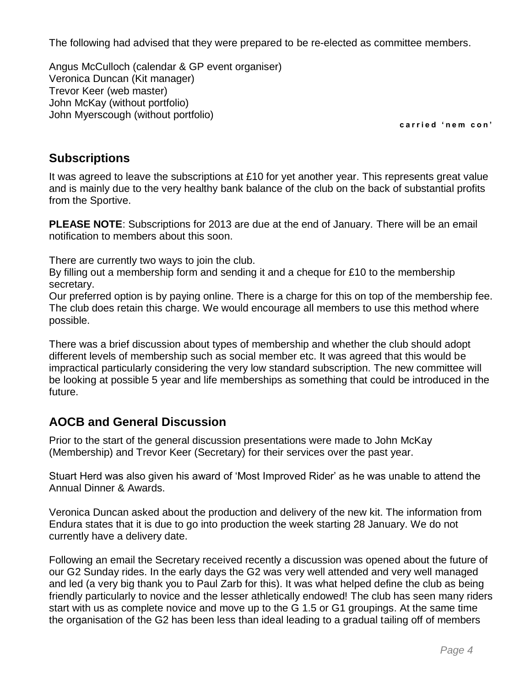The following had advised that they were prepared to be re-elected as committee members.

Angus McCulloch (calendar & GP event organiser) Veronica Duncan (Kit manager) Trevor Keer (web master) John McKay (without portfolio) John Myerscough (without portfolio)

**c a r r i e d ' n e m c o n '**

#### **Subscriptions**

It was agreed to leave the subscriptions at £10 for yet another year. This represents great value and is mainly due to the very healthy bank balance of the club on the back of substantial profits from the Sportive.

**PLEASE NOTE**: Subscriptions for 2013 are due at the end of January. There will be an email notification to members about this soon.

There are currently two ways to join the club.

By filling out a membership form and sending it and a cheque for £10 to the membership secretary.

Our preferred option is by paying online. There is a charge for this on top of the membership fee. The club does retain this charge. We would encourage all members to use this method where possible.

There was a brief discussion about types of membership and whether the club should adopt different levels of membership such as social member etc. It was agreed that this would be impractical particularly considering the very low standard subscription. The new committee will be looking at possible 5 year and life memberships as something that could be introduced in the future.

## **AOCB and General Discussion**

Prior to the start of the general discussion presentations were made to John McKay (Membership) and Trevor Keer (Secretary) for their services over the past year.

Stuart Herd was also given his award of 'Most Improved Rider' as he was unable to attend the Annual Dinner & Awards.

Veronica Duncan asked about the production and delivery of the new kit. The information from Endura states that it is due to go into production the week starting 28 January. We do not currently have a delivery date.

Following an email the Secretary received recently a discussion was opened about the future of our G2 Sunday rides. In the early days the G2 was very well attended and very well managed and led (a very big thank you to Paul Zarb for this). It was what helped define the club as being friendly particularly to novice and the lesser athletically endowed! The club has seen many riders start with us as complete novice and move up to the G 1.5 or G1 groupings. At the same time the organisation of the G2 has been less than ideal leading to a gradual tailing off of members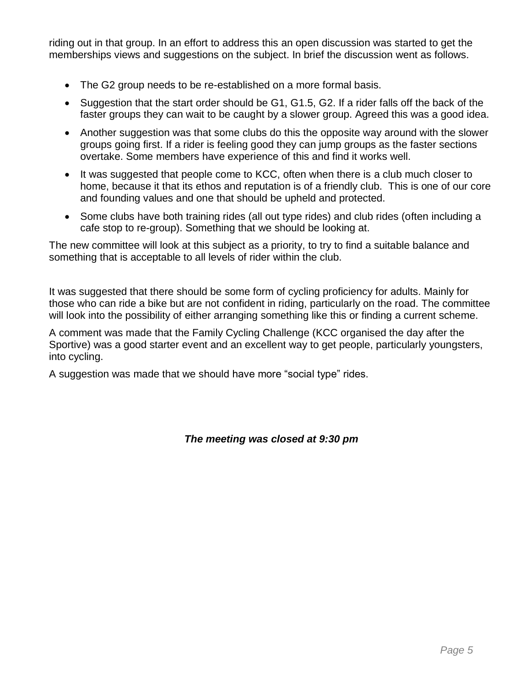riding out in that group. In an effort to address this an open discussion was started to get the memberships views and suggestions on the subject. In brief the discussion went as follows.

- The G2 group needs to be re-established on a more formal basis.
- Suggestion that the start order should be G1, G1.5, G2. If a rider falls off the back of the faster groups they can wait to be caught by a slower group. Agreed this was a good idea.
- Another suggestion was that some clubs do this the opposite way around with the slower groups going first. If a rider is feeling good they can jump groups as the faster sections overtake. Some members have experience of this and find it works well.
- It was suggested that people come to KCC, often when there is a club much closer to home, because it that its ethos and reputation is of a friendly club. This is one of our core and founding values and one that should be upheld and protected.
- Some clubs have both training rides (all out type rides) and club rides (often including a cafe stop to re-group). Something that we should be looking at.

The new committee will look at this subject as a priority, to try to find a suitable balance and something that is acceptable to all levels of rider within the club.

It was suggested that there should be some form of cycling proficiency for adults. Mainly for those who can ride a bike but are not confident in riding, particularly on the road. The committee will look into the possibility of either arranging something like this or finding a current scheme.

A comment was made that the Family Cycling Challenge (KCC organised the day after the Sportive) was a good starter event and an excellent way to get people, particularly youngsters, into cycling.

A suggestion was made that we should have more "social type" rides.

*The meeting was closed at 9:30 pm*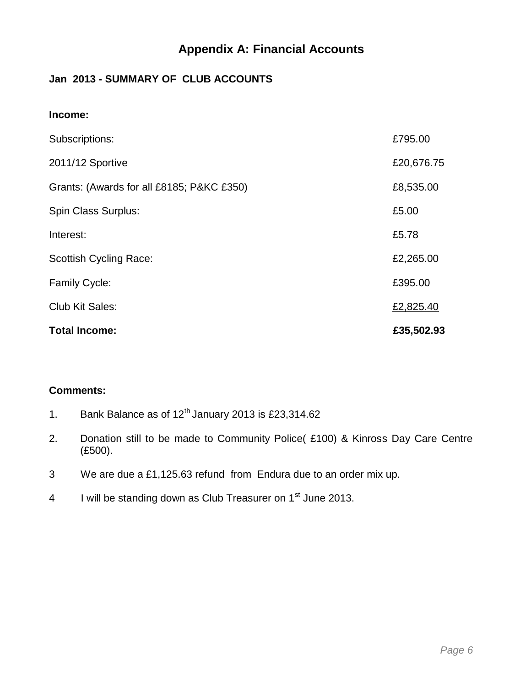### **Appendix A: Financial Accounts**

#### **Jan 2013 - SUMMARY OF CLUB ACCOUNTS**

| Income:                                   |            |
|-------------------------------------------|------------|
| Subscriptions:                            | £795.00    |
| 2011/12 Sportive                          | £20,676.75 |
| Grants: (Awards for all £8185; P&KC £350) | £8,535.00  |
| Spin Class Surplus:                       | £5.00      |
| Interest:                                 | £5.78      |
| <b>Scottish Cycling Race:</b>             | £2,265.00  |
| <b>Family Cycle:</b>                      | £395.00    |
| Club Kit Sales:                           | £2,825.40  |
| <b>Total Income:</b>                      | £35,502.93 |

#### **Comments:**

- 1. Bank Balance as of  $12<sup>th</sup>$  January 2013 is £23,314.62
- 2. Donation still to be made to Community Police( £100) & Kinross Day Care Centre (£500).
- 3 We are due a £1,125.63 refund from Endura due to an order mix up.
- 4 I will be standing down as Club Treasurer on  $1<sup>st</sup>$  June 2013.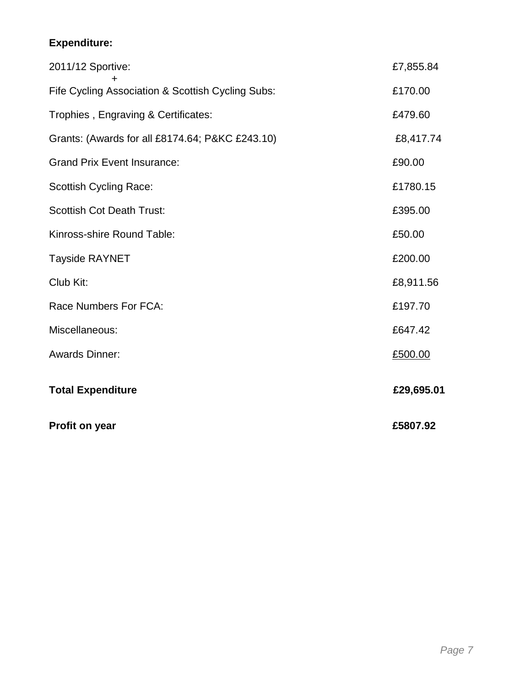## **Expenditure:**

| Profit on year                                    | £5807.92   |
|---------------------------------------------------|------------|
| <b>Total Expenditure</b>                          | £29,695.01 |
| <b>Awards Dinner:</b>                             | £500.00    |
| Miscellaneous:                                    | £647.42    |
| Race Numbers For FCA:                             | £197.70    |
| Club Kit:                                         | £8,911.56  |
| <b>Tayside RAYNET</b>                             | £200.00    |
| Kinross-shire Round Table:                        | £50.00     |
| <b>Scottish Cot Death Trust:</b>                  | £395.00    |
| <b>Scottish Cycling Race:</b>                     | £1780.15   |
| <b>Grand Prix Event Insurance:</b>                | £90.00     |
| Grants: (Awards for all £8174.64; P&KC £243.10)   | £8,417.74  |
| Trophies, Engraving & Certificates:               | £479.60    |
| Fife Cycling Association & Scottish Cycling Subs: | £170.00    |
| 2011/12 Sportive:                                 | £7,855.84  |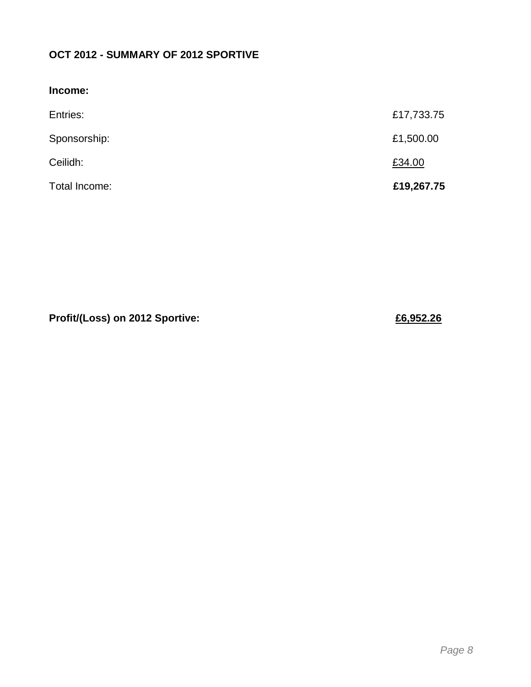## **OCT 2012 - SUMMARY OF 2012 SPORTIVE**

| Income:       |            |
|---------------|------------|
| Entries:      | £17,733.75 |
| Sponsorship:  | £1,500.00  |
| Ceilidh:      | £34.00     |
| Total Income: | £19,267.75 |

**Profit/(Loss) on 2012 Sportive: £6,952.26**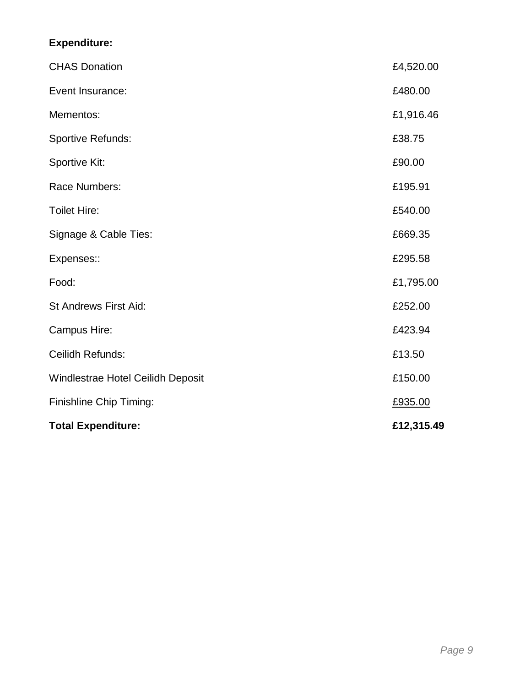## **Expenditure:**

| <b>Total Expenditure:</b>         | £12,315.49 |
|-----------------------------------|------------|
| Finishline Chip Timing:           | £935.00    |
| Windlestrae Hotel Ceilidh Deposit | £150.00    |
| Ceilidh Refunds:                  | £13.50     |
| Campus Hire:                      | £423.94    |
| St Andrews First Aid:             | £252.00    |
| Food:                             | £1,795.00  |
| Expenses::                        | £295.58    |
| Signage & Cable Ties:             | £669.35    |
| <b>Toilet Hire:</b>               | £540.00    |
| Race Numbers:                     | £195.91    |
| Sportive Kit:                     | £90.00     |
| <b>Sportive Refunds:</b>          | £38.75     |
| Mementos:                         | £1,916.46  |
| Event Insurance:                  | £480.00    |
| <b>CHAS Donation</b>              | £4,520.00  |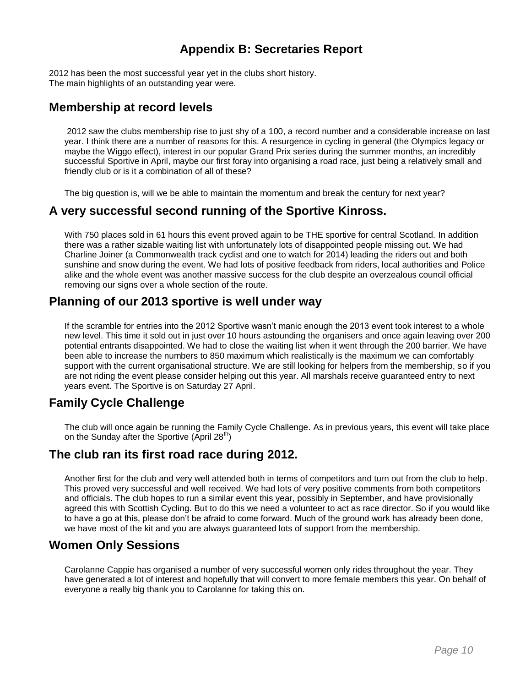## **Appendix B: Secretaries Report**

2012 has been the most successful year yet in the clubs short history. The main highlights of an outstanding year were.

#### **Membership at record levels**

2012 saw the clubs membership rise to just shy of a 100, a record number and a considerable increase on last year. I think there are a number of reasons for this. A resurgence in cycling in general (the Olympics legacy or maybe the Wiggo effect), interest in our popular Grand Prix series during the summer months, an incredibly successful Sportive in April, maybe our first foray into organising a road race, just being a relatively small and friendly club or is it a combination of all of these?

The big question is, will we be able to maintain the momentum and break the century for next year?

#### **A very successful second running of the Sportive Kinross.**

With 750 places sold in 61 hours this event proved again to be THE sportive for central Scotland. In addition there was a rather sizable waiting list with unfortunately lots of disappointed people missing out. We had Charline Joiner (a Commonwealth track cyclist and one to watch for 2014) leading the riders out and both sunshine and snow during the event. We had lots of positive feedback from riders, local authorities and Police alike and the whole event was another massive success for the club despite an overzealous council official removing our signs over a whole section of the route.

#### **Planning of our 2013 sportive is well under way**

If the scramble for entries into the 2012 Sportive wasn't manic enough the 2013 event took interest to a whole new level. This time it sold out in just over 10 hours astounding the organisers and once again leaving over 200 potential entrants disappointed. We had to close the waiting list when it went through the 200 barrier. We have been able to increase the numbers to 850 maximum which realistically is the maximum we can comfortably support with the current organisational structure. We are still looking for helpers from the membership, so if you are not riding the event please consider helping out this year. All marshals receive guaranteed entry to next years event. The Sportive is on Saturday 27 April.

#### **Family Cycle Challenge**

The club will once again be running the Family Cycle Challenge. As in previous years, this event will take place on the Sunday after the Sportive (April  $28<sup>th</sup>$ )

#### **The club ran its first road race during 2012.**

Another first for the club and very well attended both in terms of competitors and turn out from the club to help. This proved very successful and well received. We had lots of very positive comments from both competitors and officials. The club hopes to run a similar event this year, possibly in September, and have provisionally agreed this with Scottish Cycling. But to do this we need a volunteer to act as race director. So if you would like to have a go at this, please don't be afraid to come forward. Much of the ground work has already been done, we have most of the kit and you are always guaranteed lots of support from the membership.

#### **Women Only Sessions**

Carolanne Cappie has organised a number of very successful women only rides throughout the year. They have generated a lot of interest and hopefully that will convert to more female members this year. On behalf of everyone a really big thank you to Carolanne for taking this on.